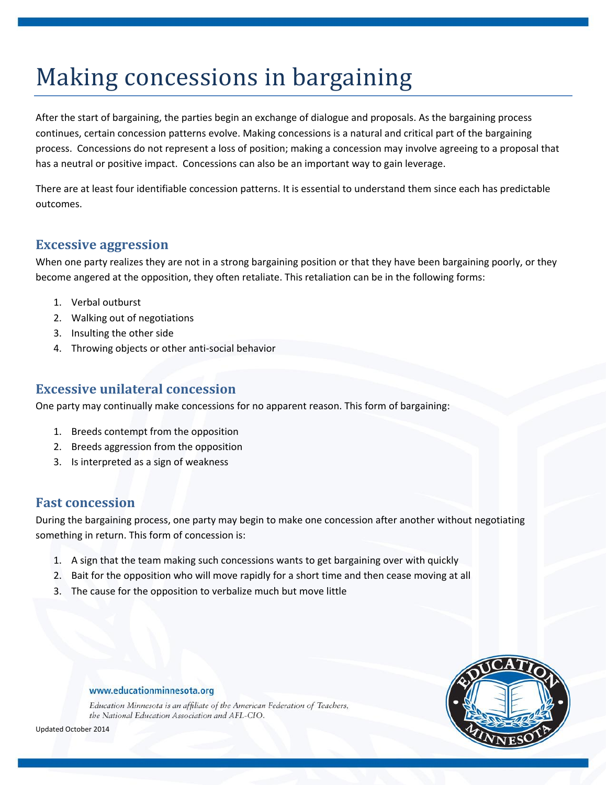# Making concessions in bargaining

After the start of bargaining, the parties begin an exchange of dialogue and proposals. As the bargaining process continues, certain concession patterns evolve. Making concessions is a natural and critical part of the bargaining process. Concessions do not represent a loss of position; making a concession may involve agreeing to a proposal that has a neutral or positive impact. Concessions can also be an important way to gain leverage.

There are at least four identifiable concession patterns. It is essential to understand them since each has predictable outcomes.

# **Excessive aggression**

When one party realizes they are not in a strong bargaining position or that they have been bargaining poorly, or they become angered at the opposition, they often retaliate. This retaliation can be in the following forms:

- 1. Verbal outburst
- 2. Walking out of negotiations
- 3. Insulting the other side
- 4. Throwing objects or other anti-social behavior

### **Excessive unilateral concession**

One party may continually make concessions for no apparent reason. This form of bargaining:

- 1. Breeds contempt from the opposition
- 2. Breeds aggression from the opposition
- 3. Is interpreted as a sign of weakness

### **Fast concession**

During the bargaining process, one party may begin to make one concession after another without negotiating something in return. This form of concession is:

- 1. A sign that the team making such concessions wants to get bargaining over with quickly
- 2. Bait for the opposition who will move rapidly for a short time and then cease moving at all
- 3. The cause for the opposition to verbalize much but move little



### www.educationminnesota.org

Education Minnesota is an affiliate of the American Federation of Teachers, the National Education Association and AFL-CIO.

Updated October 2014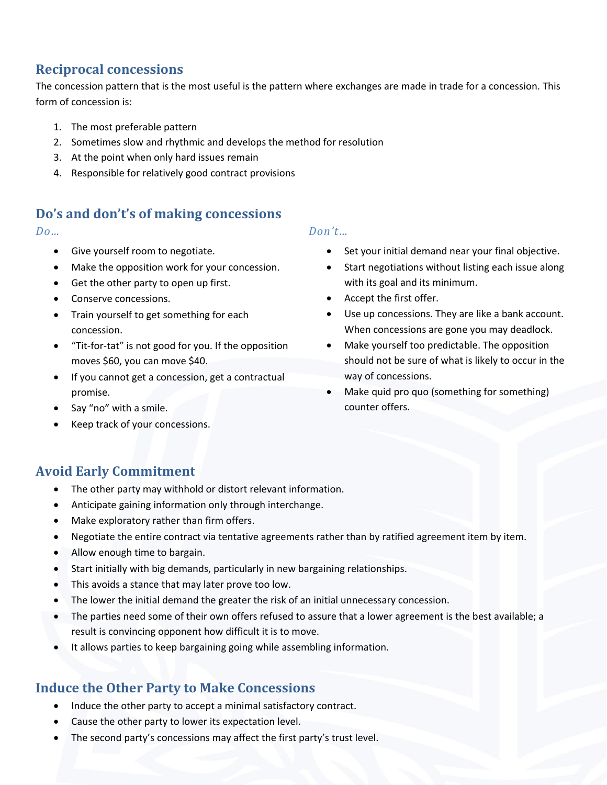# **Reciprocal concessions**

The concession pattern that is the most useful is the pattern where exchanges are made in trade for a concession. This form of concession is:

- 1. The most preferable pattern
- 2. Sometimes slow and rhythmic and develops the method for resolution
- 3. At the point when only hard issues remain
- 4. Responsible for relatively good contract provisions

# **Do's and don't's of making concessions**

- Give yourself room to negotiate.
- Make the opposition work for your concession.
- Get the other party to open up first.
- Conserve concessions.
- Train yourself to get something for each concession.
- "Tit-for-tat" is not good for you. If the opposition moves \$60, you can move \$40.
- If you cannot get a concession, get a contractual promise.
- Say "no" with a smile.
- Keep track of your concessions.

### *Do… Don't…*

- Set your initial demand near your final objective.
- Start negotiations without listing each issue along with its goal and its minimum.
- Accept the first offer.
- Use up concessions. They are like a bank account. When concessions are gone you may deadlock.
- Make yourself too predictable. The opposition should not be sure of what is likely to occur in the way of concessions.
- Make quid pro quo (something for something) counter offers.

# **Avoid Early Commitment**

- The other party may withhold or distort relevant information.
- Anticipate gaining information only through interchange.
- Make exploratory rather than firm offers.
- Negotiate the entire contract via tentative agreements rather than by ratified agreement item by item.
- Allow enough time to bargain.
- Start initially with big demands, particularly in new bargaining relationships.
- This avoids a stance that may later prove too low.
- The lower the initial demand the greater the risk of an initial unnecessary concession.
- The parties need some of their own offers refused to assure that a lower agreement is the best available; a result is convincing opponent how difficult it is to move.
- It allows parties to keep bargaining going while assembling information.

# **Induce the Other Party to Make Concessions**

- Induce the other party to accept a minimal satisfactory contract.
- Cause the other party to lower its expectation level.
- The second party's concessions may affect the first party's trust level.